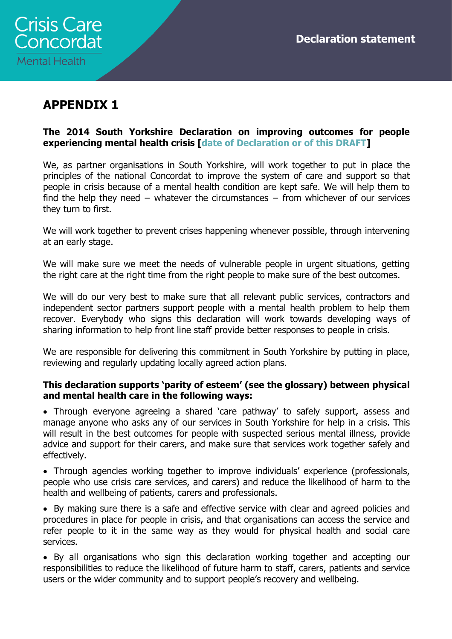

# APPENDIX 1

### The 2014 South Yorkshire Declaration on improving outcomes for people experiencing mental health crisis [date of Declaration or of this DRAFT]

We, as partner organisations in South Yorkshire, will work together to put in place the principles of the national Concordat to improve the system of care and support so that people in crisis because of a mental health condition are kept safe. We will help them to find the help they need − whatever the circumstances − from whichever of our services they turn to first.

We will work together to prevent crises happening whenever possible, through intervening at an early stage.

We will make sure we meet the needs of vulnerable people in urgent situations, getting the right care at the right time from the right people to make sure of the best outcomes.

We will do our very best to make sure that all relevant public services, contractors and independent sector partners support people with a mental health problem to help them recover. Everybody who signs this declaration will work towards developing ways of sharing information to help front line staff provide better responses to people in crisis.

We are responsible for delivering this commitment in South Yorkshire by putting in place, reviewing and regularly updating locally agreed action plans.

#### This declaration supports 'parity of esteem' (see the glossary) between physical and mental health care in the following ways:

• Through everyone agreeing a shared 'care pathway' to safely support, assess and manage anyone who asks any of our services in South Yorkshire for help in a crisis. This will result in the best outcomes for people with suspected serious mental illness, provide advice and support for their carers, and make sure that services work together safely and effectively.

• Through agencies working together to improve individuals' experience (professionals, people who use crisis care services, and carers) and reduce the likelihood of harm to the health and wellbeing of patients, carers and professionals.

• By making sure there is a safe and effective service with clear and agreed policies and procedures in place for people in crisis, and that organisations can access the service and refer people to it in the same way as they would for physical health and social care services.

• By all organisations who sign this declaration working together and accepting our responsibilities to reduce the likelihood of future harm to staff, carers, patients and service users or the wider community and to support people's recovery and wellbeing.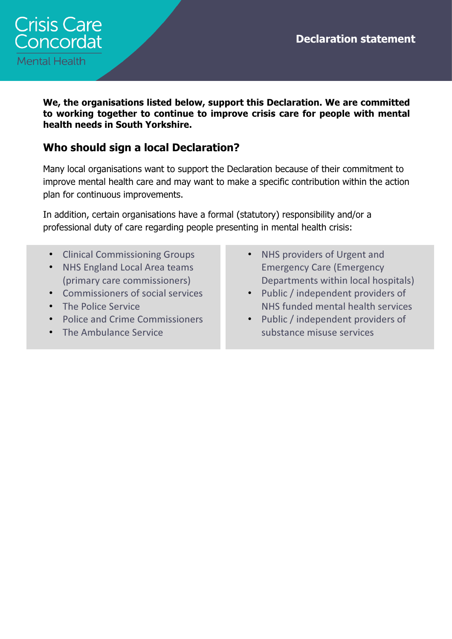Declaration statement



We, the organisations listed below, support this Declaration. We are committed to working together to continue to improve crisis care for people with mental health needs in South Yorkshire.

### Who should sign a local Declaration?

Many local organisations want to support the Declaration because of their commitment to improve mental health care and may want to make a specific contribution within the action plan for continuous improvements.

In addition, certain organisations have a formal (statutory) responsibility and/or a professional duty of care regarding people presenting in mental health crisis:

- Clinical Commissioning Groups
- NHS England Local Area teams (primary care commissioners)
- Commissioners of social services
- The Police Service
- Police and Crime Commissioners
- The Ambulance Service
- NHS providers of Urgent and Emergency Care (Emergency Departments within local hospitals)
- Public / independent providers of NHS funded mental health services
- Public / independent providers of substance misuse services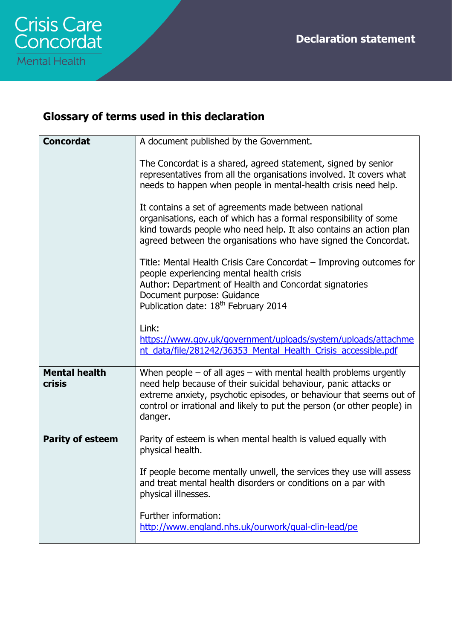# Glossary of terms used in this declaration

| <b>Concordat</b>                      | A document published by the Government.                                                                                                                                                                                                                                                              |
|---------------------------------------|------------------------------------------------------------------------------------------------------------------------------------------------------------------------------------------------------------------------------------------------------------------------------------------------------|
|                                       | The Concordat is a shared, agreed statement, signed by senior<br>representatives from all the organisations involved. It covers what<br>needs to happen when people in mental-health crisis need help.<br>It contains a set of agreements made between national                                      |
|                                       | organisations, each of which has a formal responsibility of some<br>kind towards people who need help. It also contains an action plan<br>agreed between the organisations who have signed the Concordat.                                                                                            |
|                                       | Title: Mental Health Crisis Care Concordat – Improving outcomes for<br>people experiencing mental health crisis<br>Author: Department of Health and Concordat signatories<br>Document purpose: Guidance<br>Publication date: 18 <sup>th</sup> February 2014                                          |
|                                       | Link:<br>https://www.gov.uk/government/uploads/system/uploads/attachme<br>nt data/file/281242/36353 Mental Health Crisis accessible.pdf                                                                                                                                                              |
| <b>Mental health</b><br><b>crisis</b> | When people $-$ of all ages $-$ with mental health problems urgently<br>need help because of their suicidal behaviour, panic attacks or<br>extreme anxiety, psychotic episodes, or behaviour that seems out of<br>control or irrational and likely to put the person (or other people) in<br>danger. |
| <b>Parity of esteem</b>               | Parity of esteem is when mental health is valued equally with<br>physical health.                                                                                                                                                                                                                    |
|                                       | If people become mentally unwell, the services they use will assess<br>and treat mental health disorders or conditions on a par with<br>physical illnesses.                                                                                                                                          |
|                                       | Further information:<br>http://www.england.nhs.uk/ourwork/qual-clin-lead/pe                                                                                                                                                                                                                          |